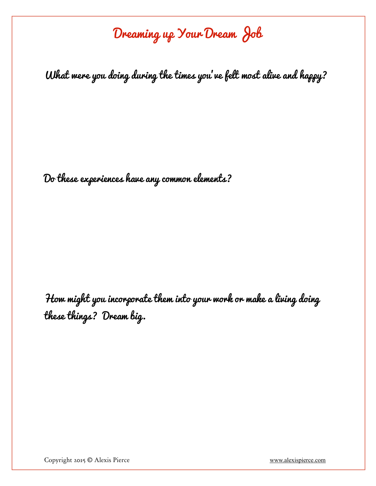# Dreaming up Your Dream Job

What were you doing during the times you've felt most alive and happy?

Do these experiences have any common elements?

How might you incorporate them into your work or make a living doing these things? Dream big.

Copyright 2015 © Alexis Pierce [www.alexispierce.com](http://www.alexispierce.com)